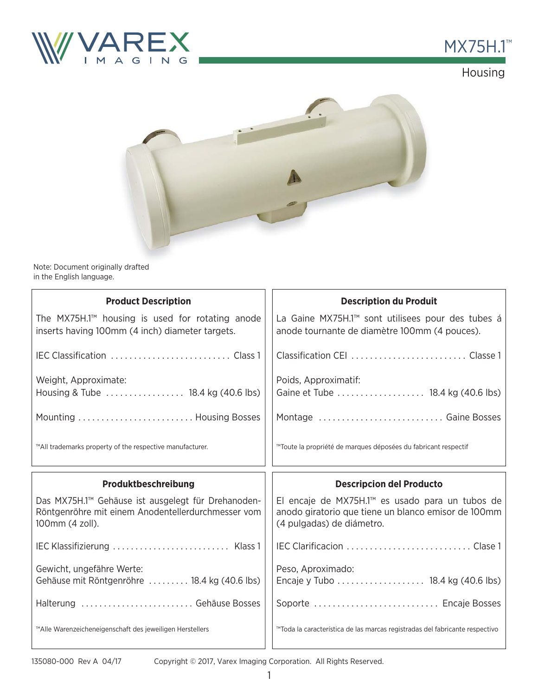

# **MX75H.1™**





Note: Document originally drafted in the English language.

| <b>Product Description</b>                                                                                                  | <b>Description du Produit</b>                                                                                                                   |  |  |  |  |
|-----------------------------------------------------------------------------------------------------------------------------|-------------------------------------------------------------------------------------------------------------------------------------------------|--|--|--|--|
| The MX75H.1 <sup>™</sup> housing is used for rotating anode<br>inserts having 100mm (4 inch) diameter targets.              | La Gaine MX75H.1 <sup>™</sup> sont utilisees pour des tubes á<br>anode tournante de diamètre 100mm (4 pouces).                                  |  |  |  |  |
|                                                                                                                             |                                                                                                                                                 |  |  |  |  |
| Weight, Approximate:<br>Housing & Tube  18.4 kg (40.6 lbs)                                                                  | Poids, Approximatif:                                                                                                                            |  |  |  |  |
|                                                                                                                             | Montage  Gaine Bosses                                                                                                                           |  |  |  |  |
| ™All trademarks property of the respective manufacturer.                                                                    | ™Toute la propriété de marques déposées du fabricant respectif                                                                                  |  |  |  |  |
|                                                                                                                             |                                                                                                                                                 |  |  |  |  |
| Produktbeschreibung                                                                                                         | <b>Descripcion del Producto</b>                                                                                                                 |  |  |  |  |
| Das MX75H.1™ Gehäuse ist ausgelegt für Drehanoden-<br>Röntgenröhre mit einem Anodentellerdurchmesser vom<br>100mm (4 zoll). | El encaje de MX75H.1 <sup>™</sup> es usado para un tubos de<br>anodo giratorio que tiene un blanco emisor de 100mm<br>(4 pulgadas) de diámetro. |  |  |  |  |
|                                                                                                                             |                                                                                                                                                 |  |  |  |  |
| Gewicht, ungefähre Werte:<br>Gehäuse mit Röntgenröhre  18.4 kg (40.6 lbs)                                                   | Peso, Aproximado:<br>Encaje y Tubo 18.4 kg (40.6 lbs)                                                                                           |  |  |  |  |
| Halterung  Gehäuse Bosses                                                                                                   | Soporte  Encaje Bosses                                                                                                                          |  |  |  |  |

Copyright © 2017, Varex Imaging Corporation. All Rights Reserved.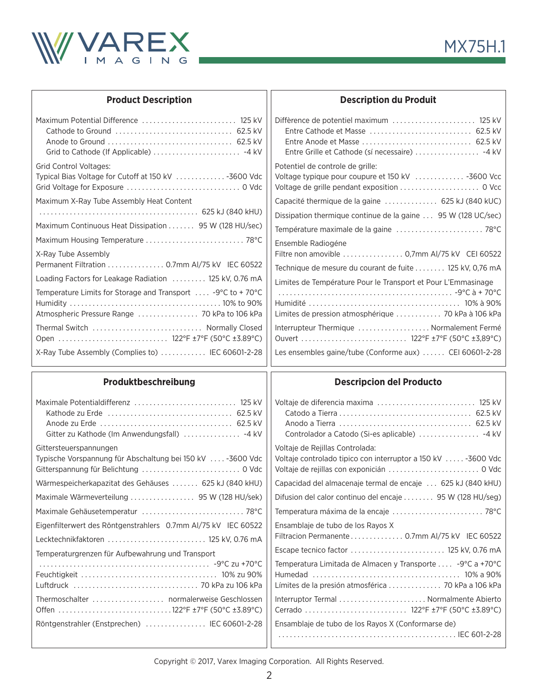

|  | <b>Product Description</b> |
|--|----------------------------|
|--|----------------------------|

| Maximum Potential Difference  125 kV                        |
|-------------------------------------------------------------|
|                                                             |
|                                                             |
|                                                             |
| Grid Control Voltages:                                      |
| Typical Bias Voltage for Cutoff at 150 kV  -3600 Vdc        |
|                                                             |
| Maximum X-Ray Tube Assembly Heat Content                    |
|                                                             |
| Maximum Continuous Heat Dissipation 95 W (128 HU/sec)       |
|                                                             |
| X-Ray Tube Assembly                                         |
| Permanent Filtration 0.7mm AI/75 kV IEC 60522               |
| Loading Factors for Leakage Radiation  125 kV, 0.76 mA      |
| Temperature Limits for Storage and Transport  -9°C to +70°C |
|                                                             |
| Atmospheric Pressure Range  70 kPa to 106 kPa               |
| Thermal Switch  Normally Closed                             |
|                                                             |
| X-Ray Tube Assembly (Complies to)  IEC 60601-2-28           |

#### **Description du Produit**

| Diffèrence de potentiel maximum  125 kV<br>Entre Anode et Masse  62.5 kV<br>Entre Grille et Cathode (sí necessaire)  -4 kV           |
|--------------------------------------------------------------------------------------------------------------------------------------|
| Potentiel de controle de grille:<br>Voltage typique pour coupure et 150 kV  -3600 Vcc<br>Voltage de grille pendant exposition  0 Vcc |
| Capacité thermique de la gaine  625 kJ (840 kUC)                                                                                     |
| Dissipation thermique continue de la gaine  95 W (128 UC/sec)                                                                        |
|                                                                                                                                      |
| Ensemble Radiogéne<br>Filtre non amovible  0,7mm AI/75 kV CEI 60522                                                                  |
| Technique de mesure du courant de fuite 125 kV, 0,76 mA                                                                              |
| Limites de Température Pour le Transport et Pour L'Emmasinage<br>Limites de pression atmosphérique  70 kPa à 106 kPa                 |
| Interrupteur Thermique  Normalement Fermé                                                                                            |
| Les ensembles gaine/tube (Conforme aux)  CEI 60601-2-28                                                                              |

### **Produktbeschreibung**

### **Descripcion del Producto**

| Maximale Potentialdifferenz  125 kV                                                | Voltaje de diferencia maxima  125 kV                                                                              |
|------------------------------------------------------------------------------------|-------------------------------------------------------------------------------------------------------------------|
| Gittersteuerspannungen<br>Typische Vorspannung für Abschaltung bei 150 kV-3600 Vdc | Voltaje de Rejillas Controlada:<br>Voltaje controlado tipico con interruptor a 150 kV  -3600 Vdc                  |
| Wärmespeicherkapazitat des Gehäuses  625 kJ (840 kHU)                              | Capacidad del almacenaje termal de encaje  625 kJ (840 kHU)                                                       |
|                                                                                    | Difusion del calor continuo del encaje  95 W (128 HU/seg)                                                         |
| Maximale Gehäusetemperatur  78°C                                                   |                                                                                                                   |
| Eigenfilterwert des Röntgenstrahlers 0.7mm Al/75 kV IEC 60522                      | Ensamblaje de tubo de los Rayos X                                                                                 |
| Lecktechnikfaktoren  125 kV, 0.76 mA                                               | Filtracion Permanente 0.7mm AI/75 kV IEC 60522                                                                    |
| Temperaturgrenzen für Aufbewahrung und Transport                                   | Escape tecnico factor  125 kV, 0.76 mA                                                                            |
|                                                                                    | Temperatura Limitada de Almacen y Transporte  -9°C a +70°C<br>Límites de la presión atmosférica  70 kPa a 106 kPa |
| Thermoschalter  normalerweise Geschlossen                                          | Interruptor Termal  Normalmente Abierto                                                                           |
| Röntgenstrahler (Enstprechen)  IEC 60601-2-28                                      | Ensamblaje de tubo de los Rayos X (Conformarse de)                                                                |

 $\mathbf{\mathbf{\mathsf{H}}}$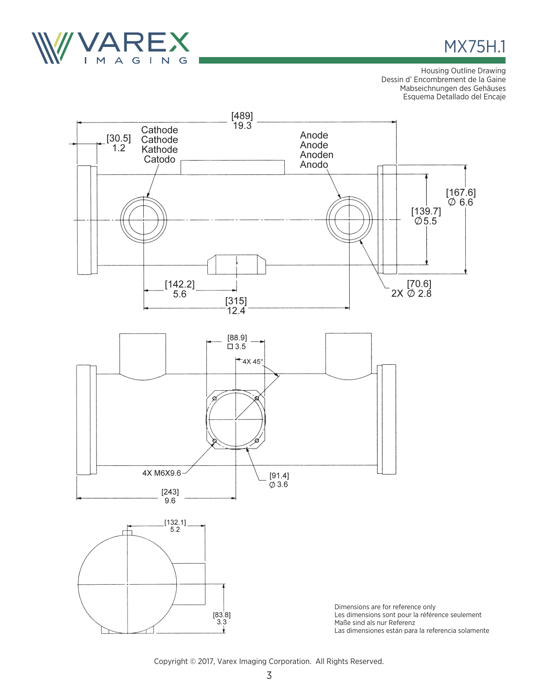

# MX75H.1

Housing Outline Drawing Dessin d' Encombrement de la Gaine Mabseichnungen des Gehäuses Esquema Detallado del Encaje



Copyright © 2017, Varex Imaging Corporation. All Rights Reserved.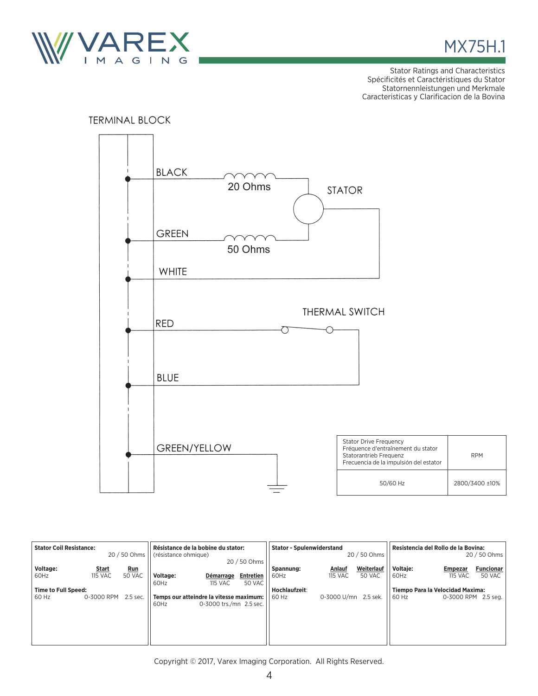



RPM

Stator Ratings and Characteristics Spécificités et Caractéristiques du Stator Statornennleistungen und Merkmale Caracteristicas y Clarificacion de la Bovina



| <b>Stator Coil Resistance:</b>      |                         | 20 / 50 Ohms         | Résistance de la bobine du stator:<br>(résistance ohmique)<br>20 / 50 Ohms |                                                                    | <b>Stator - Spulenwiderstand</b><br>20 / 50 Ohms |                        |                          | Resistencia del Rollo de la Bovina:<br>20 / 50 Ohms |                    |                                  |                            |
|-------------------------------------|-------------------------|----------------------|----------------------------------------------------------------------------|--------------------------------------------------------------------|--------------------------------------------------|------------------------|--------------------------|-----------------------------------------------------|--------------------|----------------------------------|----------------------------|
| Voltage:<br>60Hz                    | Start<br><b>115 VAC</b> | <u>Run</u><br>50 VAC | Voltage:<br>60Hz                                                           | Démarrage<br><b>115 VAC</b>                                        | <b>Entretien</b><br>50 VAC                       | Spannung:<br>60Hz      | Anlauf<br><b>115 VAC</b> | Weiterlauf<br>50 VAC                                | Voltaje:<br>l 60Hz | Empezar<br><b>115 VAC</b>        | <b>Funcionar</b><br>50 VAC |
| <b>Time to Full Speed:</b><br>60 Hz | 0-3000 RPM              | 2.5 sec.             | 60Hz                                                                       | Temps our atteindre la vitesse maximum:<br>0-3000 trs./mn 2.5 sec. |                                                  | Hochlaufzeit:<br>60 Hz | 0-3000 U/mn 2.5 sek.     |                                                     | 60 Hz              | Tiempo Para la Velocidad Maxima: | 0-3000 RPM 2.5 seg.        |

Copyright © 2017, Varex Imaging Corporation. All Rights Reserved.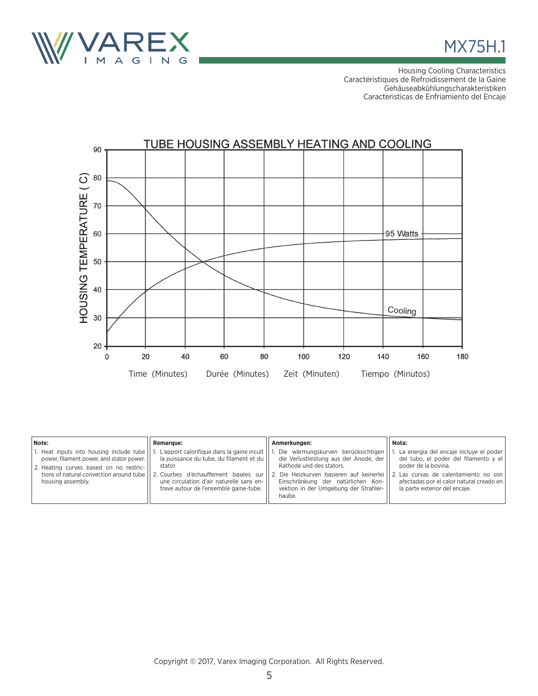



Housing Cooling Characteristics Caractéristiques de Refroidissement de la Gaine Gehäuseabkühlungscharakteristiken Caracteristicas de Enfriamiento del Encaje



| Note:                                                                                                                                                                                            | <b>Remarque:</b>                                                                                                                                                                                                                | Anmerkungen:                                                                                                                                                                                                                                  | Nota:                                                                                                                                                                                                                              |
|--------------------------------------------------------------------------------------------------------------------------------------------------------------------------------------------------|---------------------------------------------------------------------------------------------------------------------------------------------------------------------------------------------------------------------------------|-----------------------------------------------------------------------------------------------------------------------------------------------------------------------------------------------------------------------------------------------|------------------------------------------------------------------------------------------------------------------------------------------------------------------------------------------------------------------------------------|
| 1. Heat inputs into housing include tube  <br>power, filament power, and stator power.<br>2. Heating curves based on no restric-<br>tions of natural convection around tube<br>housing assembly. | L'apport calorifique dans la gaine incult  <br>la puissance du tube, du filament et du<br>stator.<br>2. Courbes d'échauffement basées sur<br>une circulation d'air naturelle sans en-<br>trave autour de l'ensemble gaine-tube. | Die wärmungskurven berücksichtigen<br>die Verlustleistung aus der Anode, der<br>Kathode und des stators.<br>2. Die Heizkurven basieren auf keinerlei<br>Einschränkung der natürlichen Kon-<br>vektion in der Umgebung der Strahler-<br>haube. | La energia del encaje incluye el poder<br>del tubo, el poder del filamento y el<br>poder de la bovina.<br>  2. Las curvas de calentamiento no son  <br>afectadas por el calor natural creado en  <br>la parte exterior del encaie. |